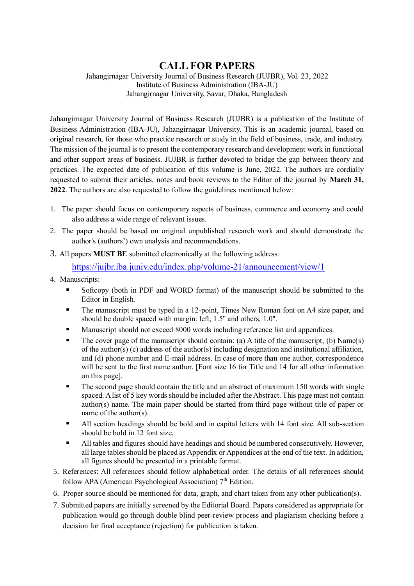## **CALL FOR PAPERS**

Jahangirnagar University Journal of Business Research (JUJBR), Vol. 23, 2022 Institute of Business Administration (IBA-JU) Jahangirnagar University, Savar, Dhaka, Bangladesh

Jahangirnagar University Journal of Business Research (JUJBR) is a publication of the Institute of Business Administration (IBA-JU), Jahangirnagar University. This is an academic journal, based on original research, for those who practice research or study in the field of business, trade, and industry. The mission of the journal is to present the contemporary research and development work in functional and other support areas of business. JUJBR is further devoted to bridge the gap between theory and practices. The expected date of publication of this volume is June, 2022. The authors are cordially requested to submit their articles, notes and book reviews to the Editor of the journal by **March 31, 2022**. The authors are also requested to follow the guidelines mentioned below:

- 1. The paper should focus on contemporary aspects of business, commerce and economy and could also address a wide range of relevant issues.
- 2. The paper should be based on original unpublished research work and should demonstrate the author's (authors') own analysis and recommendations.
- 3. All papers **MUST BE** submitted electronically at the following address:

<https://jujbr.iba.juniv.edu/index.php/volume-21/announcement/view/1>

- 4. Manuscripts:
	- Softcopy (both in PDF and WORD format) of the manuscript should be submitted to the Editor in English.
	- The manuscript must be typed in a 12-point, Times New Roman font on A4 size paper, and should be double spaced with margin: left, 1.5'' and others, 1.0''.
	- Manuscript should not exceed 8000 words including reference list and appendices.
	- The cover page of the manuscript should contain: (a) A title of the manuscript, (b) Name(s) of the author(s) (c) address of the author(s) including designation and institutional affiliation, and (d) phone number and E-mail address. In case of more than one author, correspondence will be sent to the first name author. [Font size 16 for Title and 14 for all other information on this page].
	- The second page should contain the title and an abstract of maximum 150 words with single spaced. A list of 5 key words should be included after the Abstract. This page must not contain author(s) name. The main paper should be started from third page without title of paper or name of the author(s).
	- All section headings should be bold and in capital letters with 14 font size. All sub-section should be bold in 12 font size.
	- All tables and figures should have headings and should be numbered consecutively. However, all large tables should be placed as Appendix or Appendices at the end of the text. In addition, all figures should be presented in a printable format.
- 5. References: All references should follow alphabetical order. The details of all references should follow APA (American Psychological Association)  $7<sup>th</sup>$  Edition.
- 6. Proper source should be mentioned for data, graph, and chart taken from any other publication(s).
- 7. Submitted papers are initially screened by the Editorial Board. Papers considered as appropriate for publication would go through double blind peer-review process and plagiarism checking before a decision for final acceptance (rejection) for publication is taken.